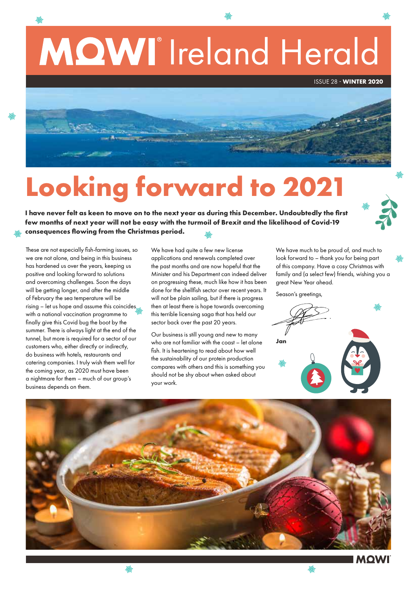

# **Looking forward to 2021**

**I have never felt as keen to move on to the next year as during this December. Undoubtedly the first few months of next year will not be easy with the turmoil of Brexit and the likelihood of Covid-19 consequences flowing from the Christmas period.** 

These are not especially fish-farming issues, so we are not alone, and being in this business has hardened us over the years, keeping us positive and looking forward to solutions and overcoming challenges. Soon the days will be getting longer, and after the middle of February the sea temperature will be rising – let us hope and assume this coincides with a national vaccination programme to finally give this Covid bug the boot by the summer. There is always light at the end of the tunnel, but more is required for a sector of our customers who, either directly or indirectly, do business with hotels, restaurants and catering companies. I truly wish them well for the coming year, as 2020 must have been a nightmare for them – much of our group's business depends on them.

※

We have had quite a few new license applications and renewals completed over the past months and are now hopeful that the Minister and his Department can indeed deliver on progressing these, much like how it has been done for the shellfish sector over recent years. It will not be plain sailing, but if there is progress then at least there is hope towards overcoming this terrible licensing saga that has held our sector back over the past 20 years.

Our business is still young and new to many who are not familiar with the coast – let alone fish. It is heartening to read about how well the sustainability of our protein production compares with others and this is something you should not be shy about when asked about your work.

We have much to be proud of, and much to look forward to – thank you for being part of this company. Have a cosy Christmas with family and (a select few) friends, wishing you a great New Year ahead.

Season's greetings,

**Jan**



※

※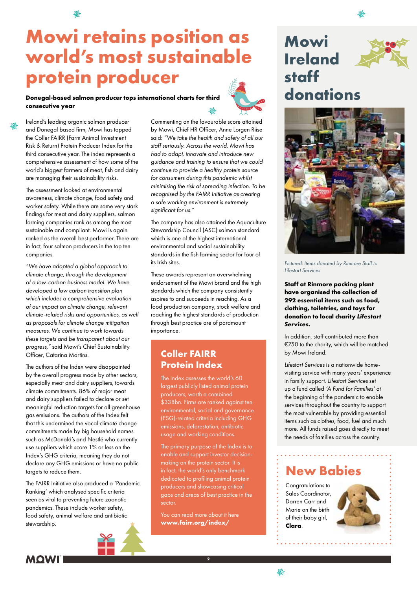## **Mowi retains position as world's most sustainable protein producer**

#### **Donegal-based salmon producer tops international charts for third consecutive year**



Ireland's leading organic salmon producer and Donegal based firm, Mowi has topped the Coller FAIRR (Farm Animal Investment Risk & Return) Protein Producer Index for the third consecutive year. The index represents a comprehensive assessment of how some of the world's biggest farmers of meat, fish and dairy are managing their sustainability risks.

The assessment looked at environmental awareness, climate change, food safety and worker safety. While there are some very stark findings for meat and dairy suppliers, salmon farming companies rank as among the most sustainable and compliant. Mowi is again ranked as the overall best performer. There are in fact, four salmon producers in the top ten companies.

*"We have adopted a global approach to climate change, through the development of a low-carbon business model. We have developed a low carbon transition plan which includes a comprehensive evaluation of our impact on climate change, relevant climate-related risks and opportunities, as well as proposals for climate change mitigation measures. We continue to work towards these targets and be transparent about our progress,"* said Mowi's Chief Sustainability Officer, Catarina Martins.

The authors of the Index were disappointed by the overall progress made by other sectors, especially meat and dairy suppliers, towards climate commitments. 86% of major meat and dairy suppliers failed to declare or set meaningful reduction targets for all greenhouse gas emissions. The authors of the Index felt that this undermined the vocal climate change commitments made by big household names such as McDonald's and Nestlé who currently use suppliers which score 1% or less on the Index's GHG criteria, meaning they do not declare any GHG emissions or have no public targets to reduce them.

The FAIRR Initiative also produced a 'Pandemic Ranking' which analysed specific criteria seen as vital to preventing future zoonotic pandemics. These include worker safety, food safety, animal welfare and antibiotic stewardship.

Commenting on the favourable score attained by Mowi, Chief HR Officer, Anne Lorgen Riise said: *"We take the health and safety of all our staff seriously. Across the world, Mowi has had to adapt, innovate and introduce new guidance and training to ensure that we could continue to provide a healthy protein source for consumers during this pandemic whilst minimising the risk of spreading infection. To be recognised by the FAIRR Initiative as creating a safe working environment is extremely significant for us."*

The company has also attained the Aquaculture Stewardship Council (ASC) salmon standard which is one of the highest international environmental and social sustainability standards in the fish farming sector for four of its Irish sites.

These awards represent an overwhelming endorsement of the Mowi brand and the high standards which the company consistently aspires to and succeeds in reaching. As a food production company, stock welfare and reaching the highest standards of production through best practice are of paramount importance.

#### **Coller FAIRR Protein Index**

The Index assesses the world's 60 largest publicly listed animal protein producers, worth a combined \$338bn. Firms are ranked against ten environmental, social and governance (ESG)-related criteria including GHG emissions, deforestation, antibiotic usage and working conditions.

The primary purpose of the Index is to enable and support investor decisionmaking on the protein sector. It is in fact, the world's only benchmark dedicated to profiling animal protein producers and showcasing critical gaps and areas of best practice in the sector.

You can read more about it here **www.fairr.org/index/**

**2**

### **Mowi Ireland staff donations**



*Pictured: Items donated by Rinmore Staff to Lifestart Services*

**Staff at Rinmore packing plant have organised the collection of 292 essential items such as food, clothing, toiletries, and toys for donation to local charity** *Lifestart Services.*

In addition, staff contributed more than €750 to the charity, which will be matched by Mowi Ireland.

*Lifestart Services* is a nationwide homevisiting service with many years' experience in family support. *Lifestart Services* set up a fund called *'A Fund for Families'* at the beginning of the pandemic to enable services throughout the country to support the most vulnerable by providing essential items such as clothes, food, fuel and much more. All funds raised goes directly to meet the needs of families across the country.

### **New Babies**

Congratulations to Sales Coordinator, Darren Carr and Marie on the birth of their baby girl, **Clara**.

. . . . . . . . .





悲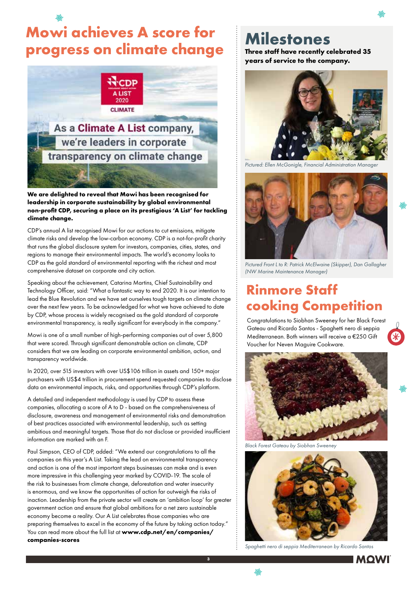## **Mowi achieves A score for progress on climate change**



#### **We are delighted to reveal that Mowi has been recognised for leadership in corporate sustainability by global environmental non-profit CDP, securing a place on its prestigious 'A List' for tackling climate change.**

CDP's annual A list recognised Mowi for our actions to cut emissions, mitigate climate risks and develop the low-carbon economy. CDP is a not-for-profit charity that runs the global disclosure system for investors, companies, cities, states, and regions to manage their environmental impacts. The world's economy looks to CDP as the gold standard of environmental reporting with the richest and most comprehensive dataset on corporate and city action.

Speaking about the achievement, Catarina Martins, Chief Sustainability and Technology Officer, said: "What a fantastic way to end 2020. It is our intention to lead the Blue Revolution and we have set ourselves tough targets on climate change over the next few years. To be acknowledged for what we have achieved to date by CDP, whose process is widely recognised as the gold standard of corporate environmental transparency, is really significant for everybody in the company."

Mowi is one of a small number of high-performing companies out of over 5,800 that were scored. Through significant demonstrable action on climate, CDP considers that we are leading on corporate environmental ambition, action, and transparency worldwide.

In 2020, over 515 investors with over US\$106 trillion in assets and 150+ major purchasers with US\$4 trillion in procurement spend requested companies to disclose data on environmental impacts, risks, and opportunities through CDP's platform.

A detailed and independent methodology is used by CDP to assess these companies, allocating a score of A to D - based on the comprehensiveness of disclosure, awareness and management of environmental risks and demonstration of best practices associated with environmental leadership, such as setting ambitious and meaningful targets. Those that do not disclose or provided insufficient information are marked with an F.

Paul Simpson, CEO of CDP, added: "We extend our congratulations to all the companies on this year's A List. Taking the lead on environmental transparency and action is one of the most important steps businesses can make and is even more impressive in this challenging year marked by COVID-19. The scale of the risk to businesses from climate change, deforestation and water insecurity is enormous, and we know the opportunities of action far outweigh the risks of inaction. Leadership from the private sector will create an 'ambition loop' for greater government action and ensure that global ambitions for a net zero sustainable economy become a reality. Our A List celebrates those companies who are preparing themselves to excel in the economy of the future by taking action today." You can read more about the full list at **www.cdp.net/en/companies/ companies-scores**

**3**

悲

## **Milestones**

**Three staff have recently celebrated 35 years of service to the company.** 



*Pictured: Ellen McGonigle, Financial Administration Manager*



*Pictured Front L to R: Patrick McElwaine (Skipper), Dan Gallagher (NW Marine Maintenance Manager)*

### **Rinmore Staff cooking Competition**

Congratulations to Siobhan Sweeney for her Black Forest Gateau and Ricardo Santos - Spaghetti nero di seppia Mediterranean. Both winners will receive a €250 Gift Voucher for Neven Maguire Cookware.



*Black Forest Gateau by Siobhan Sweeney*



*Spaghetti nero di seppia Mediterranean by Ricardo Santos*